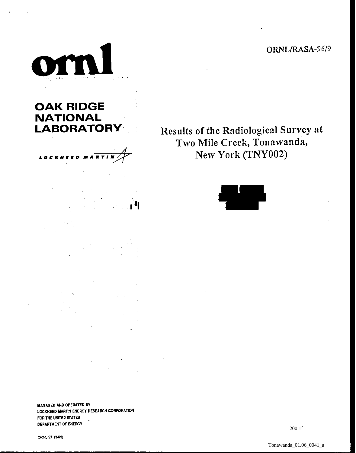ORNL/RASA-96/9



**OAK RIDGE NATIONAL** 

. .





**WANAGED AND OPERATED BY** LOCKHEED MARTIN ENERGY RESEARCH CORPORATION **FIX THE UNTED STATES** , **DEPMNENT OF ENEROY** 

ORNL-27 (3-96)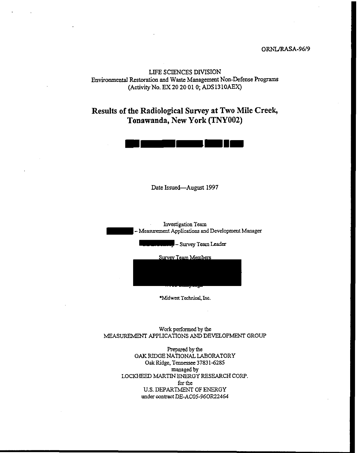## ORNL/RASA-96/9

LIFE SCIENCES DIVISION Environmental Restoration and Waste Management Non-Defense Programs (ActivityNo. EX 20 20 01 0; ADS1310AEX)

# **Results of the Radiological Survey at Two Mile Creek, Tonawanda, New York (TNY002)**



**Date Issued--August 1997** 

Investigation Team - Measurement Applications and Development Managet

J-Survey Team Leader

Survey Team Members

\*Midwest Technical, Inc.

Work performed by the MEASUREMENT APPLICATIONS **AND** DEVELOPMENT GROW

> **Prepared** by **the**  OAK RIDGE NATIONAL LABORATORY Oak Ridge. Tennessee **3783** 1-6285 managed by LOCKHEED MARTIN ENERGY RESEARCH CORP. for the U.S. DEPARTMENT OF ENERGY under contract DE-AC05-96OR22464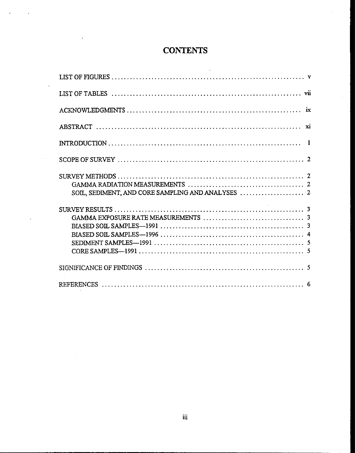# **CONTENTS**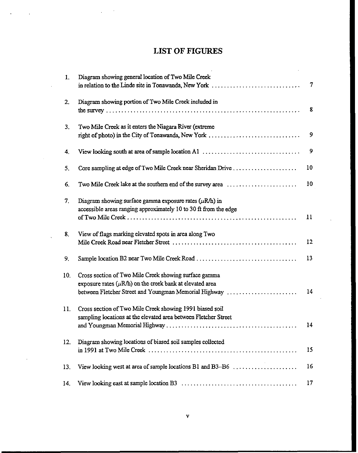# **LIST OF FIGURES**

| 1.  | Diagram showing general location of Two Mile Creek                                                           |                 |
|-----|--------------------------------------------------------------------------------------------------------------|-----------------|
|     | in relation to the Linde site in Tonawanda, New York                                                         | $\tau$          |
| 2.  | Diagram showing portion of Two Mile Creek included in                                                        | 8               |
|     |                                                                                                              |                 |
| 3.  | Two Mile Creek as it enters the Niagara River (extreme<br>right of photo) in the City of Tonawanda, New York | 9               |
| 4.  | View looking south at area of sample location A1                                                             | 9               |
| 5.  | Core sampling at edge of Two Mile Creek near Sheridan Drive                                                  | 10              |
| 6.  | Two Mile Creek lake at the southern end of the survey area                                                   | 10              |
| 7.  | Diagram showing surface gamma exposure rates $(\mu R/h)$ in                                                  |                 |
|     | accessible areas ranging approximately 10 to 30 ft from the edge                                             | $\mathbf{11}$   |
| 8.  | View of flags marking elevated spots in area along Two                                                       |                 |
|     |                                                                                                              | 12              |
| 9.  |                                                                                                              | 13              |
| 10. | Cross section of Two Mile Creek showing surface gamma                                                        |                 |
|     | exposure rates $(\mu R/h)$ on the creek bank at elevated area                                                |                 |
|     | between Fletcher Street and Youngman Memorial Highway                                                        | 14 <sup>1</sup> |
| 11. | Cross section of Two Mile Creek showing 1991 biased soil                                                     |                 |
|     | sampling locations at the elevated area between Fletcher Street                                              |                 |
|     |                                                                                                              | 14              |
| 12. | Diagram showing locations of biased soil samples collected                                                   |                 |
|     |                                                                                                              | 15              |
| 13. | View looking west at area of sample locations B1 and B3-B6                                                   | 16              |
| 14. |                                                                                                              | 17              |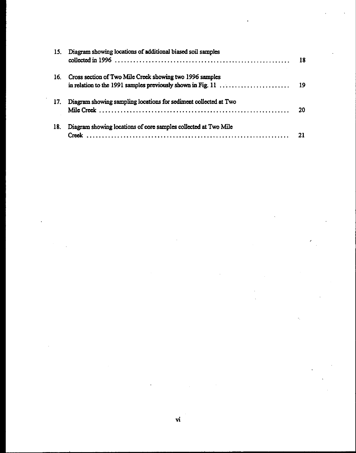| Diagram showing locations of additional biased soil samples<br>15.<br>collected in 1996 $\ldots$ $\ldots$ $\ldots$ $\ldots$ $\ldots$ $\ldots$ $\ldots$ $\ldots$ $\ldots$ $\ldots$ $\ldots$ $\ldots$ $\ldots$<br>Cross section of Two Mile Creek showing two 1996 samples<br>16. | - 18<br>- 19 |
|---------------------------------------------------------------------------------------------------------------------------------------------------------------------------------------------------------------------------------------------------------------------------------|--------------|
|                                                                                                                                                                                                                                                                                 |              |
|                                                                                                                                                                                                                                                                                 |              |
|                                                                                                                                                                                                                                                                                 |              |
|                                                                                                                                                                                                                                                                                 |              |
| Diagram showing sampling locations for sediment collected at Two<br>17.                                                                                                                                                                                                         |              |
|                                                                                                                                                                                                                                                                                 | -20          |
| Diagram showing locations of core samples collected at Two Mile<br>18.                                                                                                                                                                                                          |              |
| Creek                                                                                                                                                                                                                                                                           | 21           |

 $\label{eq:2.1} \mathcal{L}(\mathcal{L}^{\text{max}}_{\mathcal{L}}(\mathcal{L}^{\text{max}}_{\mathcal{L}})) \leq \mathcal{L}(\mathcal{L}^{\text{max}}_{\mathcal{L}}(\mathcal{L}^{\text{max}}_{\mathcal{L}}))$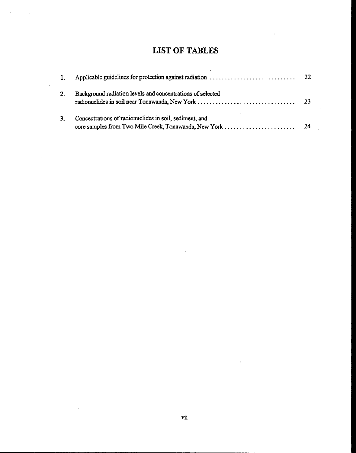# **LIST OF TABLES**

| 2. | Background radiation levels and concentrations of selected |  |
|----|------------------------------------------------------------|--|
| 3. | Concentrations of radionuclides in soil, sediment, and     |  |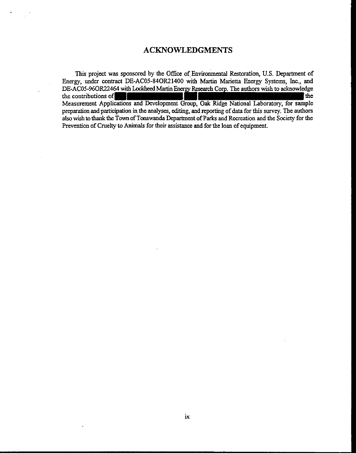# **ACKNOWLEDGMENTS**

This project was sponsored by the Office of Environmental Restoration, U.S. Department of Energy, under contract DE-AC05-840R21400 with Martin Marietta Energy **Systems,** Inc., and DE-AC05-96OR22464 with Lockheed Martin Energy Research Corp. The authors wish to acknowledge  $\blacksquare$  the contributions of  $\blacksquare$ Measmemat Applications and Development Group, **Oak** Ridge National Laboratory, for sample preparation and participation in the analyses, editing, and reporting of data for this survey. The authors also wish **tothank th:** Town of **Toaawanda** Department of **Parks** and Recreation and the Society for the Prevention of Cruelty to Animals for their assistance and for the loan of equipment.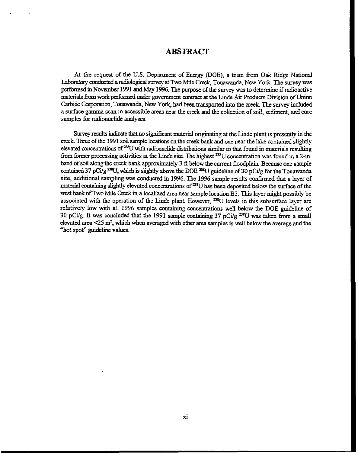## **ABSTRACT**

At the request of the **U.S.** Depariment of **Energy** (DOE), a team from Oak Ridge National Laboratmy conducted a radiological **survey at Two** Mile Creek, Tonawanda, New York The **survey** was Laboratory conducted a radiological stavey at Two Iwine Creek, Tonawanda, New Tork. The survey was<br>performed in November 1991 and May 1996. The purpose of the survey was to determine if radioactive<br>materials from work perf Carbide **Corporatioq** Tonawmda, New York, had been transported into the **creek.** The **survey** included a **surface** gamma **scan** in accessible areas near the **creek** and the collection of soil, sediment, and core samples for radionuclide analyses.

Survey results indicate that no significant material originating at the Linde plant is presently in the **creek** Thnz of the 1991 soil sample locations **on** the **creek** bank and one near the lake contained slightly elevated concentrations of <sup>238</sup>U with radionuclide distributions similar to that found in materials resulting from former processing activities at the Linde site. The highest <sup>238</sup>U concentration was found in a 2-in. band of soil along the **creek** bank approximately **3** ft below the current floodplain Because one sample contained 37 pCi/g<sup>238</sup>U, which is slightly above the DOE <sup>238</sup>U guideline of 30 pCi/g for the Tonawanda site, additional sampling **was** conducted in 1996. The 1996 sample results confirmed that a layer of material containing slightly elevated concentrations of <sup>238</sup>U has been deposited below the surface of the west bank of Two Mile Creek in a localized area near sample location **B3**. This layer might possibly be associated with the operation of the Linde plant. However, <sup>238</sup>U levels in this subsurface layer are relatively low with all 1996 samples containing concentrations well below the DOE guideline of **30 pCi/g. It was concluded that the 1991 sample containing 37 pCi/g<sup>238</sup>U was taken from a small** elevated area **Q5 m2,** which when averaged with other **area** samples is well below the average and the ''hot spot" guideline values.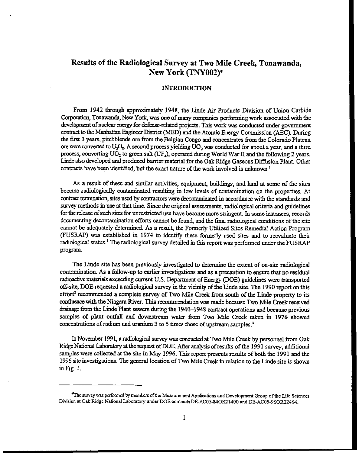# **Results of the Radiological Survey at Two Mile Creek, Tonawanda, New York (TNY002)+**

## **INTRODUCTION**

From 1942 through approximately 1948, the Linde **Air** Products Division of **Union** Carbide Corporation, Tonawanda, New York, was one of many companies performing work associated with the development of nuclear **eoagy** for **defense-related** projects. This work **was** conducted under government mntrad to the **Manhattan** *EngbexDhid* **(MED)** and the Atomic **Energy** Commission (AEC). During the first 3 years, pitchblende ore from the Belgian Congo and concentrates from the Colorado Plateau ore were converted to U<sub>3</sub>O<sub>8</sub>. A second process yielding UO<sub>2</sub> was conducted for about a year, and a third process, converting UO<sub>2</sub> to green salt (UF<sub>4</sub>), operated during World War II and the following 2 years. Linde also developed and produced barrier material for the Oak Ridge Gaseous Diffusion Plant Other contracts have been identified, but the exact nature of the work involved is unknown.<sup>1</sup>

As a result of these and similar activities, equipment, buildings, and land **at** some of the sites became radiologically contaminated resulting in low levels of contamination on the properties. At contract termination, sites used by contractors were decontaminated in accordance with the standards and survey methods in use **at** that time. Since the original assessments, radiological criteria and guidelines for the release of **such** sites for unreshicted use have become more stringent In some **instances,** records documenting decontamination efforts cannot be found, and the final radiological conditions of the site cannot be adequately determined. As a result, the Formerly Utilized Sites Remedial Action Program (FUSRAP) **was** established in 1974 to idenfify these formerly used sites and to reevaluate their radiological status.<sup>1</sup> The radiological survey detailed in this report was performed under the FUSRAP program.

The Lide site **has been** previously investigated to determine the extent of on-site radiological contamination As a follow-up to earlier investigations and as a precaution to **ensun that** no residual radioadivemataials exceeding **nnrent** U.S. **Department** of Energy **(DOE)** guidelines were **hamported**  off-site, **DOE** requested aradiological **survey** in the vicinity of the Linde site. The 1990 report on this effort2 **recommended** a complete **survey** of Two Mile Creek fiom south of the Linde property to its confluence with the Niagara River. This recommendation was made because Two Mile Creek received drainage from the Linde Plant sewers during the 1940-1948 contract operations and because previous samples of plant outfall and downstream water from Two Mile Creek taken in 1976 showed concentrations of radium and uranium 3 to 5 times those of upstream samples.'

InNovember 1991, aradiological **survey** was mnduded **at** Two Mile Creek by personnel from Oak Ridge National Laboratory at the request of DOE. After analysis of results of the 1991 survey, additional samples were collected at the site in **May** 1996. **This** report presents results of both the 1991 and the 1996 site investigations. The general location of Two Mile Creek in relation to the Linde site is shown in Fig. 1.

<sup>&</sup>lt;sup>\*</sup>The survey was performed by members of the Measurement Applications and Development Group of the Life Sciences Division at Oak Ridge National Laboratory under DOE contracts DE-AC05-84OR21400 and DE-AC05-96OR22464.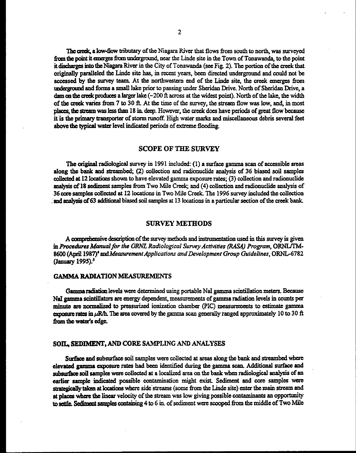The creek, a low-flow tributary of the Niagara River that flows from south to north, was surveyed from the point it emerges from underground, near the Linde site in the Town of Tonawanda, to the point it discharges into the Niagara River in the City of Tonawanda (see Fig. 2). The portion of the creek that originally paralleled the Linde site has, in recent years, been directed underground and could not be accessed by the survey team. At the northwestern end of the Linde site, the creek emerges from **dagmd and** forms a **small** lake prior to passing under Sheridan Drive. North of Sheridan **Drive,** a **dam on the creek produces a larger lake (~200 ft across at the widest point). North of the lake, the width** of **the a&** varies hm 7 to **30 A.** At the time of **the survey,** the stream flow was low, **and,** in most places, **the strcam was iss than 18 ia deep.** Howcyer, the *car&* docs have periods of **great** flow becase it is the primary transporter of storm runoff. High water marks and miscellaneous debris several feet **abwe the** typical **wata** level **indid puiods** of extreme flooding.

## **SCOPE OF THE SURVEY**

The **original** radiological **survey** in **1991** included: **(1) a surface** gamma **scan** of accessible **areas**  along the bank and streambed; (2) collection and radionuclide analysis of 36 biased soil samples **dcctcd at 12** locations shown **to** have elevated gamma exposure rates; **(3)** collection and radionudide analysis **of18** sediment samples from Two Mile **Cretk;** and (4) collection and radionudide analysis of **36 me** samples colld at **12** locations in Two Mile Creek. The **1996** survey included **the** coUection **and analysis of 63 additional biased soil samples at 13 locations in a particular section of the creek bank.** 

#### **SURVEY METHODS**

A cnqdmive **dcsaiption** of the **survey methods** and insmnnmtation used in this **survey** is given in Procedures Manual for the ORNL Radiological Survey Activities (RASA) Program, ORNL/TM-8600 (April 1987)<sup>4</sup> and *Measurement Applications and Development Group Guidelines, ORNL-6782* **(Jmuary 1995):** 

#### **GAMMA RADIATION** MEASUREMENTS

Gamma radiation levels were determined using portable NaI gamma scintillation meters. Because NaI gamma scintillators are energy dependent, measurements of gamma radiation levels in counts per **min&** are **nolmalizcd** to pressurizai ionization **chambex (PIC) measurements to** estimate **gamma exposure rates in**  $\mu$ **R/h.** The area covered by the gamma scan generally ranged approximately 10 to 30  $\text{ft}$ from the water's edge.

### *SOIL,* **SEDIMENT, AM) CORE SAMPLING AND** ANALYSES

**Sur&cc and** subsurface **soil** samples wen collected **at areas** along the bank **and** slnambcd **where**  elevated gamma exposure rates had been identified during the gamma scan. Additional surface and &su&c **soil** samplcs **wac** collected **at** a localized area on the bank whcn radiological **analysis** of an **carlia sample** indicated possible contamination might **exist.** Sediment and **oorc** samples **wae**  strategically taken at locations where side streams (some from the Linde site) enter the main stream and at places where **the linear velocity** of the *stream* **was** low giving possible mtaminauts an opporluuity to settle. Sediment samples containing 4 to 6 in. of sediment were scooped from the middle of Two Mile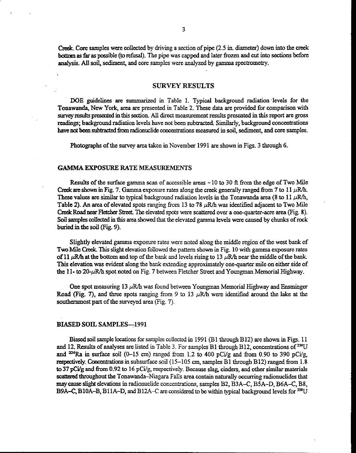Creek. Core samples were collected by driving a section of pipe  $(2.5 \text{ in. diameter})$  down into the creek bottom as **far** as pcssible **(to refusal).** The pipe was capped and later frozen **and** cut into **sections** before **analysis.** *All* soil, sediment, and core samples were analyzed by gamma spectrometry.

#### **SURVEY RESULTS**

DOE guidelines are summarized in Table 1. Typical background radiation levels for the Tonawanda, **New** York **area are** presented in Table 2. **These** data are provided for comparison with **survey** results prevnted **ia** this section All direct measurement results presented in this report **are** gross readings; background radiation levels have not been subtracted. Similarly, background concentrations have not **becn** subtracted fkm radionuclide **cwcentratians** measured in soil, **sediment,** and wre samples.

Photographs of the survey **area** taken in Novemba **1991 are** shown **in** Figs. 3 through 6.

#### **GAMMA EXPOSURE RATE MEASUREMENTS**

**Results** of the surface gamma scan of accessible areas - **10 to 30** ft from **the** edge of Two Mile Creek are shown in Fig. 7. Gamma exposure rates along the creek generally ranged from 7 to  $11 \mu R/h$ . These values are similar to typical background radiation levels in the Tonawanda area (8 to 11  $\mu$ R/h, Table 2). An area of elevated spots ranging from 13 to 78  $\mu$ R/h was identified adjacent to Two Mile Creek Road near Fletcher Street. The elevated spots were scattered over a one-quarter-acre area (Fig. 8). **Soil** samples mlleded **m** this area **shod** tbat the elevated gamma levels **were caused** by chunks of **rock**  buried in the soil (Fig. **9).** 

Slightly elevated gamma exposure rates were noted along the middle region of the west bank of **Two Mile Creek. This slight elevation followed the pattern shown in Fig. 10 with gamma exposure rates** of 11  $\mu$ R/h at the bottom and top of the bank and levels rising to 13  $\mu$ R/h near the middle of the bank. This elevation was evident along the bank extending approximately one-quarter mile on either side of the  $11$ - to  $20$ - $\mu$ R/h spot noted on Fig. 7 between Fletcher Street and Youngman Memorial Highway.

One spot measuring 13  $\mu$ R/h was found between Youngman Memorial Highway and Ensminger Road (Fig. 7), and three spots ranging from 9 to 13  $\mu$ R/h were identified around the lake at the southenunost part of the **surveyed** area (Fig. 7).

#### **BIASED SOIL SAMPLES--1991**

Biased soil sample locations for samples collected in 1991 (B1 through B12) are shown in Figs. 11 and 12. Results of analyses are listed in Table 3. For samples B1 through B12, concentrations of <sup>238</sup>U and <sup>226</sup>Ra in surface soil (0-15 cm) ranged from 1.2 to 400 pCi/g and from 0.90 to 390 pCi/g, respectively. Concentrations in subsurface soil (15-105 cm, samples B1 through B12) ranged from 1.8<br>to 27 pCi/g and from 0.00 to **37 pCilg and** hm **0.92** to 16 pcilg, respectively. Because slag, cinders, **and** other similar **materials**  scattered throughout the Tonawanda-Niagara Falls area contain naturally occurring radionuclides that **may** cusc **slight** elevations in radionuclide concentrations, samples **BZ, B3A-C, B5A-D, B6A-C, B8, B9A–C, B10A–B, B11A–D, and B12A–C are considered to be within typical background levels for <sup>238</sup>U**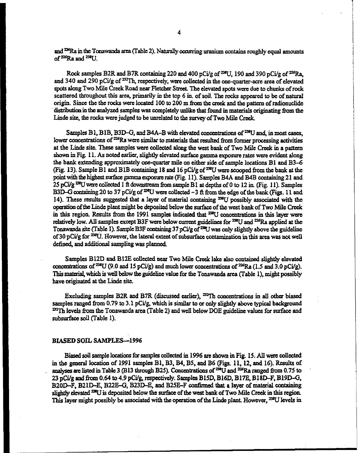and <sup>226</sup>Ra in the Tonawanda area (Table 2). Naturally occurring uranium contains roughly equal amounts and <sup>226</sup>Ra in the Tonawan<br>of <sup>226</sup>Ra and <sup>238</sup>U.

Rock samples B2R and B7R containing 220 and 400 pCi/g of <sup>238</sup>U, 190 and 390 pCi/g of <sup>226</sup>Ra, and 340 and 290 pCi/g of <sup>232</sup>Th, respectively, were collected in the one-quarter-acre area of elevated spots along Two Mile Creek Road near Fletcher Street. The elevated spots were due to chunks of rock scattered throughout this area, primarily in the top 6 in, of soil. The rocks appeared to be of natural origin. Since the the rocks were located 100 to 200 m from the creek and the pattern of radionuclide distribution in the analyzed samples was completely unlike that found in materials originating from the Linde site, the rocks were judged to be unrelated to the survey of Two Mile Creek.

Samples B1, B1B, B3D-G, and B4A-B with elevated concentrations of <sup>238</sup>U and, in most cases, lower concentrations of <sup>226</sup>Ra were similar to materials that resulted from former processing activities at the Linde site. Thsc samples **were** wllcded alang **the wcst** bank of Two Mile **Creek** in a pattan shown in Fig. 11. **As** noted earlier, slightly elevated **surface** gamma **txposurc** rates wen evident along the bank extending approxjmately one-quarta mile **on** either side of sample locations B1 and B3-6 (Fig. 13). Sample B1 and B1B containing 18 and 16 pCi/g of <sup>234</sup>U were scooped from the bank at the point with the highest surface gamma exposure rate (Fig. 11). Samples B4A and B4B containing 21 and 25 pCiig **D%U wac** *colleded* 1 ft downstnam firm sample B1 **at** depths of 0 to 12 in (Fig. 11). Samples B3D-G containing 20 to 37 pCi/g of <sup>238</sup>U were collected -3 ft from the edge of the bank (Figs. 11 and 14). These results suggested that a layer of material containing <sup>238</sup>U possibly associated with the **operation of the Linde plant might be deposited below the surface of the west bank of Two Mile Creek** in this region. Results from the 1991 samples indicated that <sup>238</sup>U concentrations in this layer were relatively low. All samples except B3F were below current guidelines for <sup>238</sup>U and <sup>226</sup>Ra applied at the Tonawanda site (Table 1). Sample B3F containing 37 pCi/g of <sup>238</sup>U was only slightly above the guideline of 30 pCi/g for <sup>238</sup>U. However, the lateral extent of subsurface contamination in this area was not well defined, **and** additional sampling was planned

Samples B12D and B12E collected near Two Mile **Creek lake** also contained slighthr elevated concentrations of <sup>238</sup>U (9.0 and 15 pCi/g) and much lower concentrations of <sup>226</sup>Ra (1.5 and 3.0 pCi/g). This material, which is well below the guideline value for the Tonawanda area (Table 1), might possibly have originated at the Linde site.

Excluding samples B2R and B7R (discussed earlier), <sup>232</sup>Th concentrations in all other biased samples ranged from 0.79 to 3.1 pCi/g, which is similar to or only slightly above typical background **=Th** lev& **6rom tbc** Tonawaada **area** (Table 2) and well below WE guideline values for **surface** and subsurface **soil** (Table 1).

#### **BIASED** SOIL SAMPLES-1996

Biased soil sample lodolls for sampls collected **in** 1996 **arc** shown in **Fig.** 15. All wac collected in the general location of 1991 samples B1, B3, B4, B5, and B6 (Figs. 11, 12, and 16). Results of analyses are listed in Table 3 (B13 through B25). Concentrations of <sup>234</sup>U and <sup>226</sup>Ra ranged from 0.75 to 23 pCi/g and from 0.64 to 4.9 pCi/g, respectively. Samples B15D, B16D, B17E, B18D–F, B19D–G, B20D-F, B21D-E, B22E-G, B23D-E, and B25E-F confirmed that a layer of material containing<br>slightly elevated <sup>228</sup>U is deposited below the surface of the west bank of Two Mile Creek in this region. slightly elevated <sup>228</sup>U is deposited below the surface of the west bank of Two Mile Creek in this region.<br>This layer might possibly be associated with the operation of the Linde plant. However, <sup>238</sup>U levels in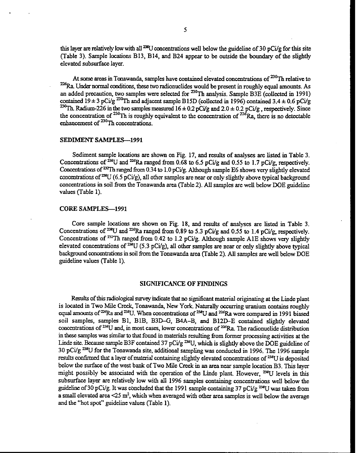this layer are relatively low with all <sup>238</sup>U concentrations well below the guideline of 30 pCi/g for this site (Table 3). Sample locations **B13, B14,** and **B24 appear** to be outside the **boundary** of the slightly elevated subsurface layer.

At some areas in Tonawanda, samples have contained elevated concentrations of <sup>230</sup>Th relative to **p6Ra Under** normal conditions, these two radionuclides would be present in roughly equal amounts. As an added precaution, two samples were selected for <sup>230</sup>Th analysis. Sample B3E (collected in 1991) contained  $19 \pm 3$  pCi/g <sup>230</sup>Th and adjacent sample B15D (collected in 1996) contained  $3.4 \pm 0.6$  pCi/g  $^{230}$ Th. Radium-226 in the two samples measured  $16 \pm 0.2$  pCi/g and  $2.0 \pm 0.2$  pCi/g, respectively. Since Radium-226 in the two samples measured oncentrations of  $\sim$  1 in relative to  $^{226}$ Ra. Under normal conditions, these two radionuclides would be present in roughly equal amounts. As an added precaution, two samples were the concentration of  $^{230}$ Th is roughly equivalent to the concentration of  $^{226}$ Ra, there is no detectable enhancement of  $230$ Th concentrations.

#### **SEDIMENT SAMPLES-1991**

Sediment sample locations are shown on Fig. **17,** and results of analyses **are** listed in Table **3.**  Concentrations of <sup>238</sup>U and <sup>226</sup>Ra ranged from 0.68 to 6.5 pCi/g and 0.55 to 1.7 pCi/g, respectively. Concentrations of <sup>232</sup>Th ranged from 0.34 to 1.0 pCi/g. Although sample E6 shows very slightly elevated concentrations of <sup>238</sup>U (6.5 pCi/g), all other samples are near or only slightly above typical background concentrations **in soil** from the Tonawanda **area** (Table **2).** AU samples are well below WE guideline values (Table **1).** 

#### **CORE SAMPLES-1991**

Core sample locations are shown on Fig. **18,** and results of analyses are listed **in** Table **3.**  Concentrations of <sup>238</sup>U and <sup>226</sup>Ra ranged from 0.89 to 5.3 pCi/g and 0.55 to 1.4 pCi/g, respectively. Concentrations of <sup>232</sup>Th ranged from 0.42 to 1.2 pCi/g. Although sample A1E shows very slightly elevated concentrations of <sup>238</sup>U (5.3 pCi/g), all other samples are near or only slightly above typical back@ mucatrations in **soil from** the Tonawanda area (Table **2).** AU samples are well below **WE**  guideline values (Table **1).** 

#### **SIGNIFICANCE OF FINDINGS**

Mts of this radiological **survey** indicate that no signi6cant material originating **at** the Lide plant is located in Two Mile Creek, Tonawanda, New York. Naturally occurring uranium contains roughly equal amounts of <sup>226</sup>Ra and <sup>238</sup>U. When concentrations of <sup>238</sup>U and <sup>226</sup>Ra were compared in 1991 biased soil samples, samples **B1, BIB, B3D-G, B4A-B,** and **B12D-E** contained slightly elevated concentrations of  $^{238}U$  and, in most cases, lower concentrations of  $^{226}Ra$ . The radionuclide distribution **in these** samples was similar to that found in materials resulting from former processing activities **at** the Linde site. Because sample B3F contained 37 pCi/g<sup>238</sup>U, which is slightly above the DOE guideline of **<sup>30</sup>**pCi/g W for the Tonawanda site, additional sampling **was** conducted in **1996.** The **1996** sample results confirmed that a layer of material containing slightly elevated concentrations of <sup>238</sup>U is deposited below the surface of the west bank of Two Mile Creek in an area near sample location **B3. This** layer might possibly be associated with the operation of the Linde plant. However, <sup>238</sup>U levels in this subsurface layer are relatively low with all **1996** samples containing concentrations well below the **guideline** of **30** pCi/g. It was cbncluded that the **1991** sample containing **37** pCi/g +)%U **was** taken fiom a small elevated area <25 m<sup>2</sup>, which when averaged with other area samples is well below the average and the "hot spot" guideline values (Table **1).**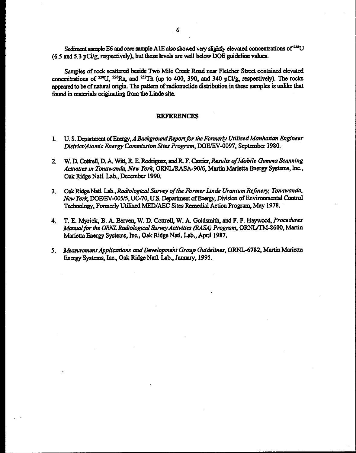Sediment sample E6 and core sample A1E also showed very slightly elevated concentrations of <sup>238</sup>U (6.5 and 5.3 pCi/g, respectively), but these levels are well below DOE guideline values.

Samples of rock scattered beside Two Mile Creek Road near Fletcher Street contained elevated concentrations of <sup>238</sup>U, <sup>226</sup>Ra, and <sup>232</sup>Th (up to 400, 390, and 340 pCi/g, respectively). The rocks appeared to be of natural origin. The pattern of radionuclide distribution in these samples is unlike that found in materials originating from the Linde site.

#### **REFERENCES**

- 1. U.S. Department of Energy, A Background Report for the Formerly Utilized Manhattan Engineer District/Atomic Energy Commission Sites Program, DOE/EV-0097, September 1980.
- 2. W. D. Cottrell, D. A. Witt, R. E. Rodriguez, and R. F. Carrier, Results of Mobile Gamma Scanning Activities in Tonawanda, New York, ORNL/RASA-90/6, Martin Marietta Energy Systems, Inc., Oak Ridge Natl. Lab., December 1990.
- Oak Ridge Natl. Lab., Radiological Survey of the Former Linde Uranium Refinery, Tonawanda,  $3<sub>1</sub>$ New York, DOE/EV-005/5, UC-70, U.S. Department of Energy, Division of Environmental Control Technology, Formerly Utilized MED/AEC Sites Remedial Action Program, May 1978.
- 4. T. E. Myrick, B. A. Berven, W. D. Cottrell, W. A. Goldsmith, and F. F. Haywood, Procedures Manual for the ORNL Radiological Survey Activities (RASA) Program, ORNL/TM-8600, Martin Marietta Energy Systems, Inc., Oak Ridge Natl. Lab., April 1987.
- 5. Measurement Applications and Development Group Guidelines, ORNL-6782, Martin Marietta Energy Systems, Inc., Oak Ridge Natl. Lab., January, 1995.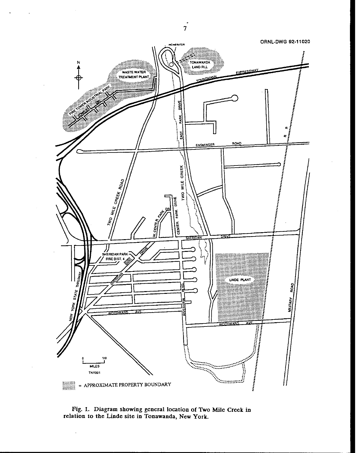

**Fig. 1. Diagram showing general location of Two Mile Creek in relation to the Linde site in Tonawanda, New York.** 

 $\overline{\mathcal{I}}$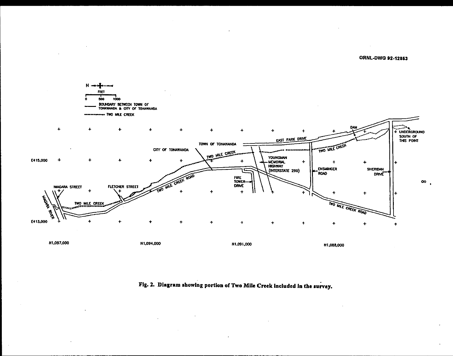**ORNL-DWG 92-12853** 



Fig. 2. Diagram showing portion of Two Mile Creek included in the survey.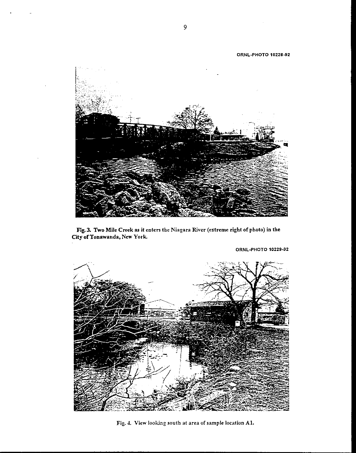

**Fig.3. Two Mile Creek as it enten the Niagara River (extreme right of photo) in the City of Tonawanda, New York.** 



**ORNL-PHOTO 10229-92** 

**Fie. 1. View looking south at area of sample location Al.**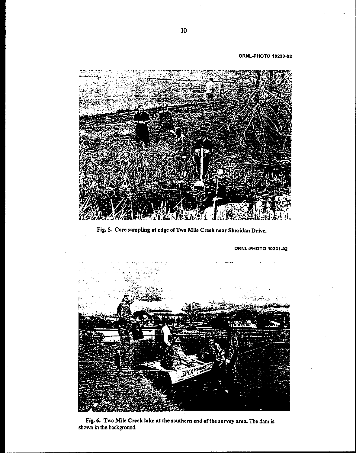**ORNLPHOTO 1023042** 



**Fig. 5. Core sampling at edge of Two Mile Creek near Sheridan Drive** 

**ORNL-PHOTO 1023142** 



**Fig. 6. Two Mile Creek lake at the southern end of the survey area The dam is shown in the background**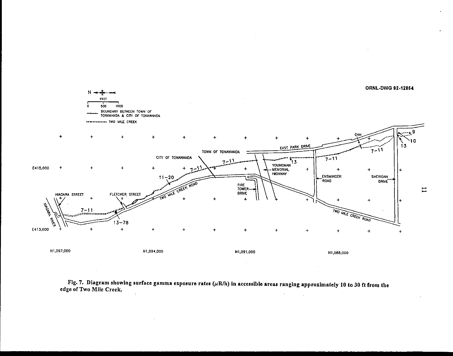

Fig. 7. Diagram showing surface gamma exposure rates  $(\mu R/h)$  in accessible areas ranging approximately 10 to 30 ft from the edge of Two Mile Creek.  $\frac{1}{2}$  $\ddot{\phantom{a}}$  $\sim 10$ 

 $\alpha$ 

 $\mathbf{1}$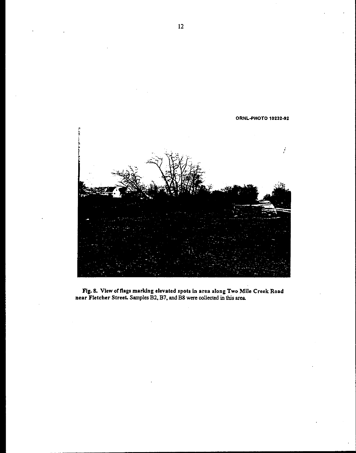

**Fig. 8. View offlags marking elevated spots in area along Two Mile Creek Road near Fletcher Street. Samples B2. B7, and B8 were collected in this area** 

 $12$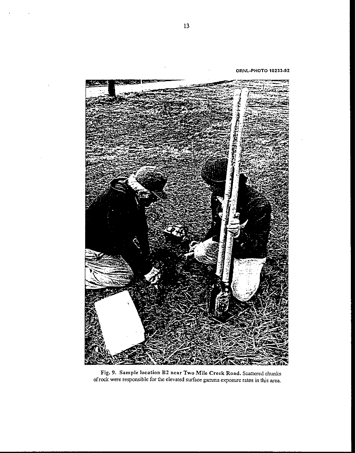**ORNL-PHOTO 1023392** 



**Fig. 9. Sample location BZ near Two Mile Creek Road. Scattered** chunks **ofrock** were responsible for the elevated surface gamma exposure rates in this **area**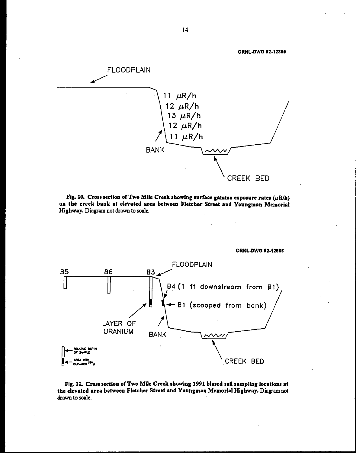

Fig. 10. Cross section of Two Mile Creek showing surface gamma exposure rates  $(\mu R/h)$ on the creek hank at elevated area between Fletcher Street and Youngman Memorial Highway. Diagram not drawn to **scale.** 



Fig. **11.** Cross section of Two Mlle Creek showing 1991 biased soil sampling locations at the elevated area between Fletcher Street and Youngman Memorial Highway. Diagramnot drawn to **scale.** 

14

**ORNLOWG 92-12866** 

**ORNL-DWG 92-12856**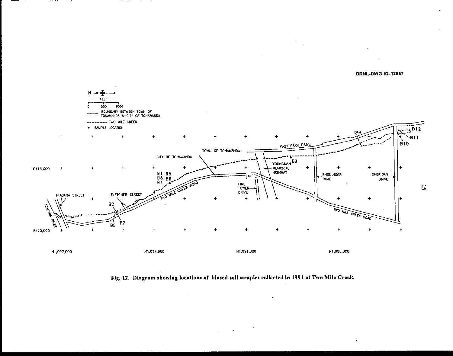

 $\mathcal{A}^{\mathcal{A}}$ 





 $\label{eq:2.1} \frac{1}{\sqrt{2}}\int_{\mathbb{R}^3}\frac{1}{\sqrt{2}}\left(\frac{1}{\sqrt{2}}\right)^2\frac{1}{\sqrt{2}}\left(\frac{1}{\sqrt{2}}\right)^2\frac{1}{\sqrt{2}}\frac{1}{\sqrt{2}}\left(\frac{1}{\sqrt{2}}\right)^2.$ 

 $\sim$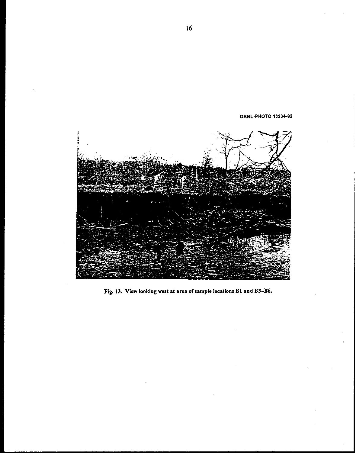**ORNLSHOTO 1023492** 



**Fig. 13. View looking west at area of sample locations B1 and B3-B6.**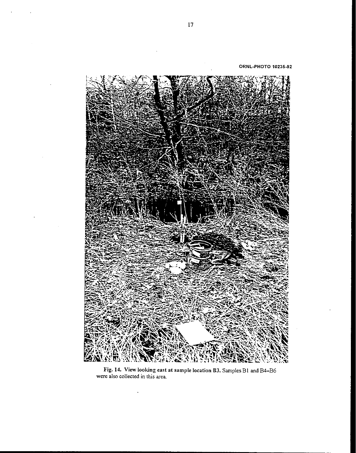**ORNL-PHOTO 10235-92** 



**Fig. 14. View looking east at sample location B3.** SmplesBI **and** B4-B6 were also **collected** in this area

 $\ddot{\phantom{a}}$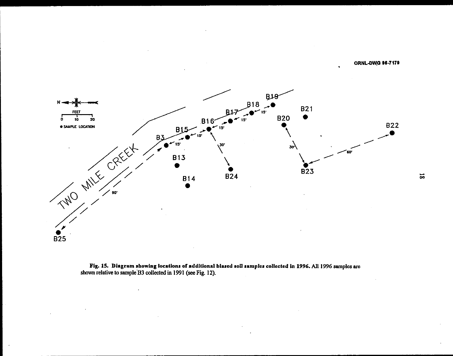**ORNL-DWG 96-7179** 



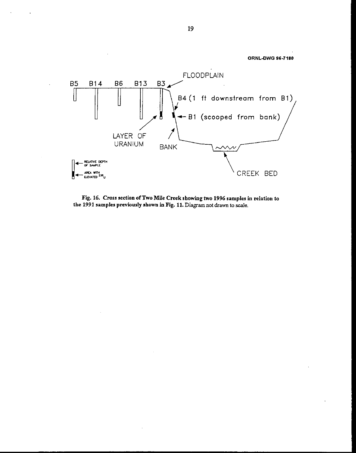

**Fig. 16. Cross section of Two Mile Creek showing two 1996 samples in relation to the 1991 samples previously shown in Fig. 11. Diagram not draw to scale.**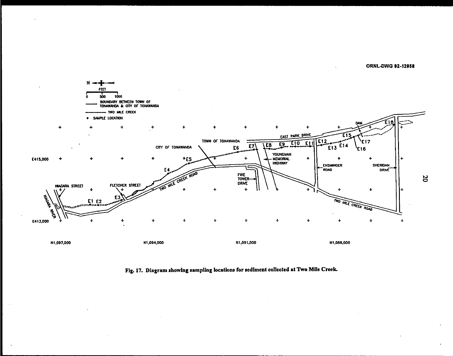**ORNL-DWG 92-12868** 



## **Fig. 17. Diagram showing sampling location^ for scdimcnt collected at** *TWO* **Mile Crcck**

20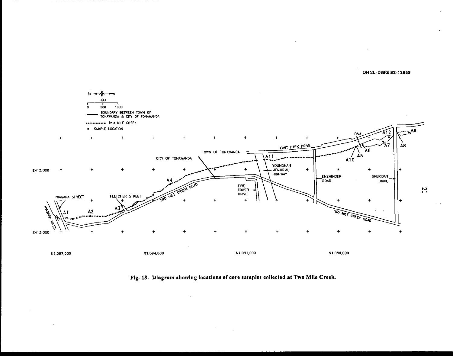**ORNL-DWG 92-12869** 



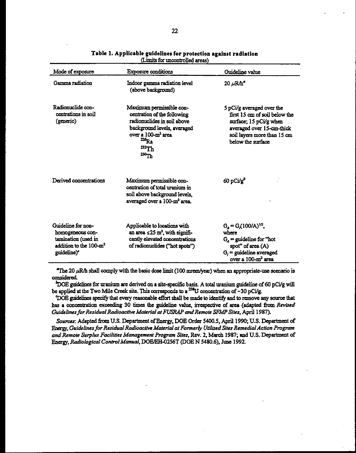| Mode of exposure                                                                                                               | Exposure conditions                                                                                                                                                                              | Guideline value                                                                                                                                                       |
|--------------------------------------------------------------------------------------------------------------------------------|--------------------------------------------------------------------------------------------------------------------------------------------------------------------------------------------------|-----------------------------------------------------------------------------------------------------------------------------------------------------------------------|
| Gamma radiation                                                                                                                | Indoor gamma radiation level<br>(above background)                                                                                                                                               | $20 \ \mu R/h^2$                                                                                                                                                      |
| Radionuclide con-<br>centrations in soil<br>(generic)                                                                          | Maximum permissible con-<br>centration of the following<br>radionuclides in soil above<br>background levels, averaged<br>over a 100-m <sup>2</sup> area<br>$^{226}$ Ra<br>$^{232}Th$<br>$230$ Th | 5 pCi/g averaged over the<br>first 15 cm of soil below the<br>surface; 15 pCi/g when<br>averaged over 15-cm-thick<br>soil layers more than 15 cm<br>below the surface |
| Derived concentrations                                                                                                         | Maximum permissible con-<br>centration of total uranium in<br>soil above background levels.<br>averaged over a 100-m <sup>2</sup> area.                                                          | $60$ pCi/g <sup>b</sup>                                                                                                                                               |
| Guideline for non-<br>homogeneous con-<br>tamination (used in<br>addition to the 100-m <sup>2</sup><br>guideline) <sup>e</sup> | Applicable to locations with<br>an area $\leq 25$ m <sup>2</sup> , with signifi-<br>cantly elevated concentrations<br>of radionuclides ("hot spots")                                             | $G_4 = G(100/A)^{1/2}$ .<br>where<br>$G_{\lambda}$ = guideline for "hot<br>spot" of area (A)<br>$G_i$ = guideline averaged<br>over a 100-m <sup>2</sup> area          |

Table 1. Applicable guidelines for protection against radiation (Limits for uncontrolled areas)

 $\textdegree$ The 20  $\mu$ R/h shall comply with the basic dose limit (100 mrem/year) when an appropriate-use scenario is considered.

 $^{b}$ DOE guidelines for uranium are derived on a site-specific basis. A total uranium guideline of 60 pCi/g will be applied at the Two Mile Creek site. This corresponds to a <sup>238</sup>U concentration of ~30 pCi/g.

DOE guidelines specify that every reasonable effort shall be made to identify and to remove any source that has a concentration exceeding 30 times the guideline value, irrespective of area (adapted from Revised Guidelines for Residual Radioactive Material at FUSRAP and Remote SFMP Sites, April 1987).

Sources: Adapted from U.S. Department of Energy, DOE Order 5400.5, April 1990; U.S. Department of Energy, Guidelines for Residual Radioactive Material at Formerly Utilized Sites Remedial Action Program and Remote Surplus Facilities Management Program Sites, Rev. 2, March 1987; and U.S. Department of Energy, Radiological Control Manual, DOE/EH-0256T (DOE N 5480.6), June 1992.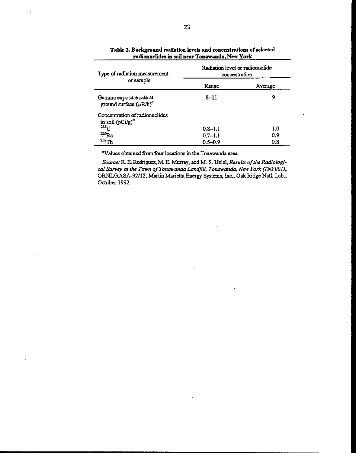| Type of radiation measurement<br>or sample             | Radiation level or radionuclide<br>concentration |         |  |
|--------------------------------------------------------|--------------------------------------------------|---------|--|
|                                                        | Range                                            | Average |  |
| Gamma exposure rate at<br>ground surface $(\mu R/h)^a$ | $8 - 11$                                         | 9       |  |
| Concentration of radionuclides<br>in soil $(pCi/g)^a$  |                                                  |         |  |
| 238 <sub>U</sub>                                       | $0.8 - 1.1$                                      | 1.0     |  |
| $^{226}$ Ra                                            | $0.7 - 1.1$                                      | 0.9     |  |
| $^{232}$ Th                                            | $0.5 - 0.9$                                      | 0.8     |  |

## Table 2. Background radiation levels and concentrations of selected radionuclides in soil near Tonawanda, New York

<sup>a</sup>Values obtained from four locations in the Tonawanda area.

Source: R. E. Rodriguez, M. E. Murray, and M. S. Uziel, Results of the Radiological Survey at the Town of Tonawanda Landfill, Tonawanda, New York (TNY001), ORNL/RASA-92/12, Martin Marietta Energy Systems, Inc., Oak Ridge Natl. Lab., October 1992.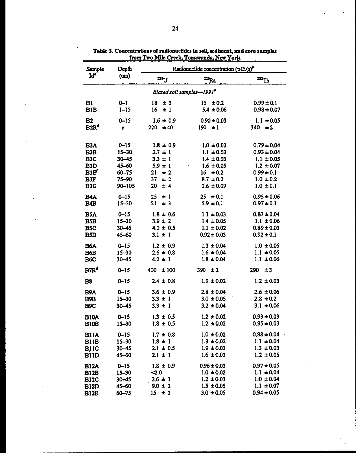| Sample                                                                  | Depth                                                    | Radionuclide concentration (pCi/g) <sup>b</sup>                       |                                                                                         |                                                                                          |
|-------------------------------------------------------------------------|----------------------------------------------------------|-----------------------------------------------------------------------|-----------------------------------------------------------------------------------------|------------------------------------------------------------------------------------------|
| Iď <sup>a</sup>                                                         | (m)                                                      | $238$ U                                                               | $\frac{226}{R}$                                                                         | $232$ Th                                                                                 |
|                                                                         |                                                          | Biased soil samples-1991 <sup>c</sup>                                 |                                                                                         |                                                                                          |
| B1<br>B1B                                                               | $0 - 1$<br>$1 - 15$                                      | 18<br>± 3<br>16<br>$\pm$ 1                                            | $15 \pm 0.2$<br>$5.4 \pm 0.06$                                                          | $0.99 \pm 0.1$<br>$0.98 \pm 0.07$                                                        |
| B2<br>B2R <sup>d</sup>                                                  | $0 - 15$<br>$\pmb{e}$                                    | $1.6 \pm 0.9$<br>220<br>±40                                           | $0.90 \pm 0.03$<br>$190 + 1$                                                            | $1.1 \pm 0.05$<br>$340 \pm 2$                                                            |
| <b>B3A</b><br>B <sub>3</sub> B<br>B <sub>3</sub> C                      | $0 - 15$<br>$15 - 30$<br>$30 - 45$                       | $1.8 \pm 0.9$<br>$2.7 \pm 1$<br>$3.3 \pm 1$                           | $1.0 \pm 0.03$<br>$1.1 \pm 0.03$<br>$1.4 \pm 0.03$                                      | $0.79 \pm 0.04$<br>$0.93 \pm 0.04$<br>$1.1 \pm 0.05$                                     |
| B <sub>3</sub> D<br>B3E'<br>B <sub>3F</sub><br>B <sub>3</sub> G         | 45-60<br>$60 - 75$<br>75-90<br>90-105                    | $5.9 \pm 1$<br>21<br>± 2<br>37<br>± 2<br>20<br>± 4                    | $1.6 \pm 0.05$<br>16 <sup>16</sup><br>± 0.2<br>$8.7 \pm 0.2$<br>$2.6 \pm 0.09$          | $1.2 \pm 0.07$<br>$0.99 \pm 0.1$<br>$1.0 \pm 0.2$<br>$1.0 \pm 0.1$                       |
| <b>B4A</b><br>B <sub>4</sub> B                                          | $0 - 15$<br>$15 - 30$                                    | 25<br>±1<br>21<br>±3                                                  | 25<br>± 0.1<br>$5.9 \pm 0.1$                                                            | $0.95 \pm 0.06$<br>$0.97 \pm 0.1$                                                        |
| <b>BSA</b><br><b>B5B</b><br>B <sub>5</sub> C<br><b>BSD</b>              | $0 - 15$<br>$15 - 30$<br>$30 - 45$<br>45-60              | $1.8 \pm 0.6$<br>$3.9 \pm 2$<br>$4.0 \pm 0.5$<br>$3.1 \pm 1$          | $1.1 \pm 0.03$<br>$1.4 \pm 0.05$<br>$1.1 \pm 0.02$<br>$0.92 \pm 0.03$                   | $0.87 \pm 0.04$<br>$1.1 \pm 0.06$<br>$0.89 \pm 0.03$<br>$0.92 \pm 0.1$                   |
| B6A<br><b>B6B</b><br>B <sub>6</sub> C                                   | $0 - 15$<br>$15 - 30$<br>$30 - 45$                       | $1.2 \pm 0.9$<br>$2.6 \pm 0.8$<br>$4.2 \pm 1$                         | $1.3 \pm 0.04$<br>$1.6 \pm 0.04$<br>$1.8 \pm 0.04$                                      | $1.0 \pm 0.05$<br>$1.1 \pm 0.05$<br>$1.1 \pm 0.06$                                       |
| $BTR^d$                                                                 | $0 - 15$                                                 | ±100<br>400                                                           | $390 \pm 2$                                                                             | 290<br>$\pm 3$                                                                           |
| B <sub>8</sub><br><b>B9A</b><br>B9B<br>B <sub>9</sub> C                 | $0 - 15$<br>$0 - 15$<br>$15 - 30$<br>$30 - 45$           | $2.4 \pm 0.8$<br>$3.6 \pm 0.9$<br>$3.3 \pm 1$<br>$3.3 \pm 1$          | $1.9 \pm 0.02$<br>$2.8 \pm 0.04$<br>$3.0 \pm 0.05$<br>$3.2 \pm 0.04$                    | $1.2 \pm 0.03$<br>$2.6 \pm 0.06$<br>$2.8 \pm 0.2$<br>$3.1 \pm 0.06$                      |
| <b>B10A</b><br>B <sub>10</sub> B                                        | $0 - 15$<br>$15 - 30$                                    | $1.3 \pm 0.5$<br>$1.8 \pm 0.5$                                        | $1.2 \pm 0.02$<br>$1.2 \pm 0.02$                                                        | $0.93 \pm 0.03$<br>$0.95 \pm 0.03$                                                       |
| <b>B11A</b><br><b>B11B</b><br><b>BIIC</b><br><b>B11D</b>                | $0 - 15$<br>$15 - 30$<br>$30 - 45$<br>45-60              | $1.7 \pm 0.8$<br>$1.8 \pm 1$<br>$2.1 \pm 0.5$<br>$2.1 \pm 1$          | $1.0 \pm 0.02$<br>$1.3 \pm 0.02$<br>$1.9 \pm 0.03$<br>$1.6 \pm 0.03$                    | $0.88 \pm 0.04$<br>$1.1 \pm 0.04$<br>$1.3 \pm 0.03$<br>$1.2 \pm 0.05$                    |
| <b>B12A</b><br><b>B12B</b><br><b>B12C</b><br><b>B12D</b><br><b>B12E</b> | $0 - 15$<br>$15 - 30$<br>$30 - 45$<br>45-60<br>$60 - 75$ | $1.8 \pm 0.9$<br>$\leq 0$<br>$2.6 \pm 1$<br>$9.0 \pm 2$<br>$15 \pm 2$ | $0.96 \pm 0.03$<br>$1.0 \pm 0.02$<br>$1.2 \pm 0.03$<br>$1.5 \pm 0.05$<br>$3.0 \pm 0.05$ | $0.97 \pm 0.05$<br>$1.1 \pm 0.04$<br>$1.0 \pm 0.04$<br>$1.1 \pm 0.07$<br>$0.94 \pm 0.05$ |

**Tabk 3 Conwtn1tlon8 of tadionuclidu in mil,** sediment, **and core sampka from Two Mile Creek, Tonawmda, New York** 

 $\overline{\phantom{a}}$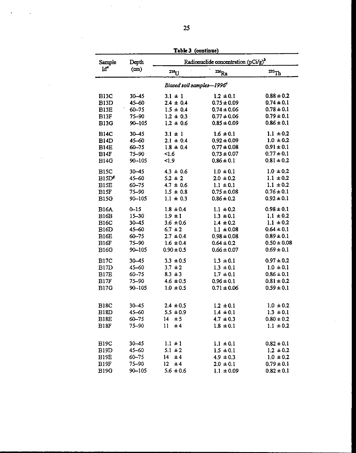| Sample                                                         | Depth                                                      | Tenie A<br>(wurmac)<br>Radionuclide concentration (pCi/g) <sup>b</sup> |                                                                                    |                                                                                      |
|----------------------------------------------------------------|------------------------------------------------------------|------------------------------------------------------------------------|------------------------------------------------------------------------------------|--------------------------------------------------------------------------------------|
| Id <sup>e</sup>                                                | (m)                                                        | $23t$ U                                                                | $\frac{226}{R_a}$                                                                  | $232$ Th                                                                             |
|                                                                |                                                            | Biased soil samples-1996 <sup>c</sup>                                  |                                                                                    |                                                                                      |
| <b>B13C</b>                                                    | 30-45                                                      | $3.1 \pm 1$                                                            | $1.2 \pm 0.1$                                                                      | $0.88 \pm 0.2$                                                                       |
| B <sub>13</sub> D                                              | 45-60                                                      | $2.4 \pm 0.4$                                                          | $0.75 \pm 0.09$                                                                    | $0.74 \pm 0.1$                                                                       |
| B <sub>13</sub> E                                              | $60 - 75$                                                  | $1.5 \pm 0.4$                                                          | $0.74 \pm 0.06$                                                                    | $0.78 \pm 0.1$                                                                       |
| B <sub>13</sub> F                                              | 75-90                                                      | $1.2 \pm 0.3$                                                          | $0.77 \pm 0.06$                                                                    | $0.79 \pm 0.1$                                                                       |
| <b>B13G</b>                                                    | $90 - 105$                                                 | $1.2 \pm 0.6$                                                          | $0.85 \pm 0.09$                                                                    | $0.86 \pm 0.1$                                                                       |
| <b>B14C</b>                                                    | $30 - 45$                                                  | $3.1 \pm 1$                                                            | $1.6 \pm 0.1$                                                                      | $1.1 \pm 0.2$                                                                        |
| <b>B14D</b>                                                    | $45 - 60$                                                  | $2.1 \pm 0.4$                                                          | $0.92 \pm 0.09$                                                                    | $1.0 \pm 0.2$                                                                        |
| <b>B14E</b>                                                    | $60 - 75$                                                  | $1.8 \pm 0.4$                                                          | $0.77 \pm 0.08$                                                                    | $0.91 \pm 0.1$                                                                       |
| <b>B14F</b>                                                    | 75-90                                                      | <1.6                                                                   | $0.73 \pm 0.07$                                                                    | $0.77 \pm 0.1$                                                                       |
| <b>B14G</b>                                                    | $90 - 105$                                                 | 1.9                                                                    | $0.86 \pm 0.1$                                                                     | $0.81 \pm 0.2$                                                                       |
| <b>B15C</b>                                                    | $30 - 45$                                                  | $4.3 \pm 0.6$                                                          | $1.0 \pm 0.1$                                                                      | $1.0 \pm 0.2$                                                                        |
| B15D <sup>g</sup>                                              | 45-60                                                      | $5.2 \pm 2$                                                            | $2.0 \pm 0.2$                                                                      | $1.1 \pm 0.2$                                                                        |
| <b>B15E</b>                                                    | $60 - 75$                                                  | $4.7 \pm 0.6$                                                          | $1.1 \pm 0.1$                                                                      | $1.1 \pm 0.2$                                                                        |
| B15F                                                           | 75-90                                                      | $1.5 \pm 0.8$                                                          | $0.75 \pm 0.08$                                                                    | $0.76 \pm 0.1$                                                                       |
| <b>B15G</b>                                                    | $90 - 105$                                                 | $1.1 \pm 0.3$                                                          | $0.86 \pm 0.2$                                                                     | $0.92 \pm 0.1$                                                                       |
| <b>B16A</b>                                                    | $0 - 15$                                                   | $1.8 \pm 0.4$                                                          | $1.1 \pm 0.2$                                                                      | $0.98 \pm 0.1$                                                                       |
| B <sub>16</sub> B                                              | $15 - 30$                                                  | $1.9 \pm 1$                                                            | $1.3 \pm 0.1$                                                                      | $1.1 \pm 0.2$                                                                        |
| <b>B16C</b>                                                    | $30 - 45$                                                  | $3.6 \pm 0.6$                                                          | $1.4 \pm 0.2$                                                                      | $1.1 \pm 0.2$                                                                        |
| BIOD                                                           | 45-60                                                      | $6.7 \pm 2$                                                            | $1.1 \pm 0.08$                                                                     | $0.64 \pm 0.1$                                                                       |
| B <sub>16</sub> E                                              | $60 - 75$                                                  | $2.7 \pm 0.4$                                                          | $0.98 \pm 0.08$                                                                    | $0.89 \pm 0.1$                                                                       |
| B <sub>16F</sub>                                               | 75-90                                                      | $1.6 \pm 0.4$                                                          | $0.64 \pm 0.2$                                                                     | $0.50 \pm 0.08$                                                                      |
| <b>B16G</b>                                                    | $90 - 105$                                                 | $0.90 \pm 0.5$                                                         | $0.66 \pm 0.07$                                                                    | $0.69 \pm 0.1$                                                                       |
| <b>B17C</b>                                                    | $30 - 45$                                                  | $3.3 \pm 0.5$                                                          | $1.3 \pm 0.1$                                                                      | $0.97 \pm 0.2$                                                                       |
| B <sub>17</sub> D                                              | 45-60                                                      | $3.7 \pm 2$                                                            | $1.3 \pm 0.1$                                                                      | $1.0 \pm 0.1$                                                                        |
| B17E                                                           | $60 - 75$                                                  | $8.3 \pm 3$                                                            | $1.7 \pm 0.1$                                                                      | $0.86 \pm 0.1$                                                                       |
| <b>B17F</b>                                                    | 75-90                                                      | $4.6 \pm 0.5$                                                          | $0.96 \pm 0.1$                                                                     | $0.81 \pm 0.2$                                                                       |
| <b>B17G</b>                                                    | $90 - 105$                                                 | $1.0 \pm 0.5$                                                          | $0.71 \pm 0.06$                                                                    | $0.59 \pm 0.1$                                                                       |
| <b>B18C</b><br>B <sub>18</sub> D<br><b>B18E</b><br><b>B18F</b> | $30 - 45$<br>45-60<br>$60 - 75$<br>75-90                   | $2.4 \pm 0.5$<br>$5.5 \pm 0.9$<br>$14-14$<br>± 5<br>±4<br>11           | $1.2 \pm 0.1$<br>$1.4 \pm 0.1$<br>$4.7 \pm 0.3$<br>$1.8 \pm 0.1$                   | $1.0 \pm 0.2$<br>$1.3 \pm 0.1$<br>$0.80 \pm 0.2$<br>$1.1 \pm 0.2$                    |
| <b>B19C</b><br>B19D<br>B19E<br><b>B19F</b><br><b>B19G</b>      | $30 - 45$<br>$45 - 60$<br>$60 - 75$<br>75-90<br>$90 - 105$ | $1.1 \pm 1$<br>$5.1 \pm 2$<br>± 4<br>14<br>± 4<br>12<br>$5.6 \pm 0.6$  | $1.1 \pm 0.1$<br>$1.5 \pm 0.1$<br>$4.9 \pm 0.3$<br>$2.0 \pm 0.1$<br>$1.1 \pm 0.09$ | $0.82 \pm 0.1$<br>$1.2 \pm 0.2$<br>$1.0 \pm 0.2$<br>$0.79 \pm 0.1$<br>$0.82 \pm 0.1$ |

Table 3 (continue)

 $\mathcal{A}$ 

 $\bar{z}$ 

 $\mathcal{L}(\mathcal{L})$  and  $\mathcal{L}(\mathcal{L})$ 

 $\ddot{\phantom{a}}$ 

 $\sim$ 

 $\sim 10^{11}$  km

 $\bar{\beta}$ 

 $\hat{\mathcal{A}}$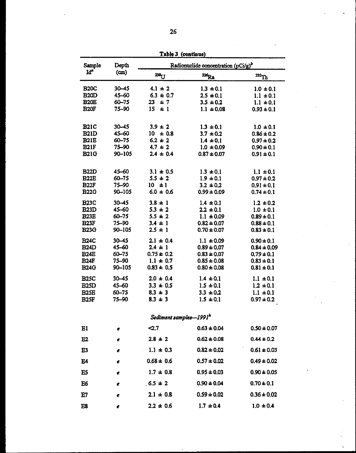| Sample                     | Depth               | Tanie A (Continu<br>Radionuclide concentration (pCi/g) <sup>b</sup> |                                    |                                  |
|----------------------------|---------------------|---------------------------------------------------------------------|------------------------------------|----------------------------------|
| Iď                         | (m)                 | 238 <sub>U</sub>                                                    | $226$ $R_a$                        | $^{232}$ Th                      |
| <b>B20C</b>                | $30 - 45$           | $4.1 \pm 2$                                                         | $1.3 \pm 0.1$                      | $1.0 \pm 0.1$                    |
| <b>B20D</b>                | 45-60               | $6.3 \pm 0.7$                                                       | $2.5 \pm 0.1$                      | $1.1 \pm 0.1$                    |
| <b>B20E</b>                | $60 - 75$           | ±7<br>23                                                            | $3.5 \pm 0.2$                      | $1.1 \pm 0.1$                    |
| <b>B20F</b>                | 75-90               | 15<br>$\pm$ 1                                                       | $1.1 \pm 0.08$                     | $0.93 \pm 0.1$                   |
| <b>B21C</b>                | $30 - 45$           | $3.9 \pm 2$                                                         | $1.3 \pm 0.1$                      | $1.0 \pm 0.1$                    |
| <b>B21D</b>                | 45-60               | $10 \pm 0.8$                                                        | $3.7 \pm 0.2$                      | $0.86 \pm 0.2$                   |
| <b>B21E</b>                | $60 - 75$           | $6.2 \pm 2$                                                         | $1.4 \pm 0.1$                      | $0.97 \pm 0.2$                   |
| <b>B21F</b>                | 75-90               | $4.7 \pm 2$                                                         | $1.0 \pm 0.09$                     | $0.90 \pm 0.1$                   |
| <b>B21G</b>                | 90-105              | $2.4 \pm 0.4$                                                       | $0.87 \pm 0.07$                    | $0.91 \pm 0.1$                   |
| <b>B22D</b>                | 45-60               | $3.1 \pm 0.5$                                                       | $1.3 \pm 0.1$                      | $1.1 \pm 0.1$                    |
| <b>B22E</b>                | $60 - 75$           | $5.5 \pm 2$                                                         | $1.9 \pm 0.1$                      | $0.97 \pm 0.2$                   |
| <b>B22F</b>                | 75-90               | $10 \pm 1$                                                          | $3.2 \pm 0.2$                      | $0.91 \pm 0.1$                   |
| <b>B22G</b><br><b>B23C</b> | 90-105<br>$30 - 45$ | $6.0 \pm 0.6$<br>$3.8 \pm 1$                                        | $0.99 \pm 0.09$                    | $0.74 \pm 0.1$                   |
| <b>B23D</b>                | 45-60               | $5.3 \pm 2$                                                         | $1.4 \pm 0.1$<br>$2.2 \pm 0.1$     | $1.2 \pm 0.2$<br>$1.0 \pm 0.1$   |
| <b>B23E</b>                | 60-75               | $5.5 \pm 2$                                                         | $1.1 \pm 0.09$                     | $0.89 \pm 0.1$                   |
| <b>B23F</b>                | 75-90               | $3.4 \pm 1$                                                         | $0.82 \pm 0.07$                    | $0.88 \pm 0.1$                   |
| <b>B23G</b>                | $90 - 105$          | $2.5 \pm 1$                                                         | $0.70 \pm 0.07$                    | $0.83 \pm 0.1$                   |
| <b>B24C</b>                | $30 - 45$           | $2.1 \pm 0.4$                                                       | $1.1 \pm 0.09$                     | $0.90 \pm 0.1$                   |
| <b>B24D</b>                | 45-60               | $2.4 \pm 1$                                                         | $0.89 \pm 0.07$                    | $0.84 \pm 0.09$                  |
| <b>B24E</b><br><b>B24F</b> | $60 - 75$<br>75-90  | $0.75 \pm 0.2$<br>$1.1 \pm 0.7$                                     | $0.83 \pm 0.07$                    | $0.79 \pm 0.1$                   |
| <b>B24G</b>                | 90-105              | $0.83 \pm 0.5$                                                      | $0.85 \pm 0.08$<br>$0.80 \pm 0.08$ | $0.83 \pm 0.1$<br>$0.81 \pm 0.1$ |
| <b>B25C</b>                | $30 - 45$           | $2.0 \pm 0.4$                                                       | $1.4 \pm 0.1$                      | $1.1 \pm 0.1$                    |
| <b>B25D</b>                | 45-60               | $3.3 \pm 0.5$                                                       | $1.5 \pm 0.1$                      | $1.2 \pm 0.1$                    |
| <b>B25E</b>                | 60-75               | $8.3 \pm 3$                                                         | $3.3 \pm 0.2$                      | $1.1 \pm 0.1$                    |
| <b>B25F</b>                | 75-90               | $8.3 \pm 3$                                                         | $1.5 \pm 0.1$                      | $0.97 \pm 0.2$                   |
|                            |                     | Sediment samples-1991 <sup>h</sup>                                  |                                    |                                  |
| El                         | e                   | $\sim$ .7                                                           | $0.63 \pm 0.04$                    | $0.50 \pm 0.07$                  |
| E <sub>2</sub>             | e                   | $2.8 \pm 2$                                                         | $0.62 \pm 0.08$                    | $0.44 \pm 0.2$                   |
| E3                         | c                   | $1.1 \pm 0.3$                                                       | $0.82 \pm 0.02$                    | $0.61 \pm 0.03$                  |
| E4                         | e                   | $0.68 \pm 0.6$                                                      | $0.57 \pm 0.02$                    | $0.49 \pm 0.02$                  |
| E5                         | e                   | $1.7 \pm 0.8$                                                       | $0.95 \pm 0.03$                    | $0.90 \pm 0.05$                  |
| E6                         | e                   | $.6.5 \pm 2$                                                        | $0.90 \pm 0.04$                    | $0.70 \pm 0.1$                   |
| E7                         | e                   | $2.1 \pm 0.8$                                                       | $0.59 \pm 0.02$                    | $0.36 \pm 0.02$                  |
| E8                         | e                   | $2.2 \pm 0.6$                                                       | $1.7 \pm 0.4$                      | $1.0 \pm 0.4$                    |

**Table 3 (coatinut)**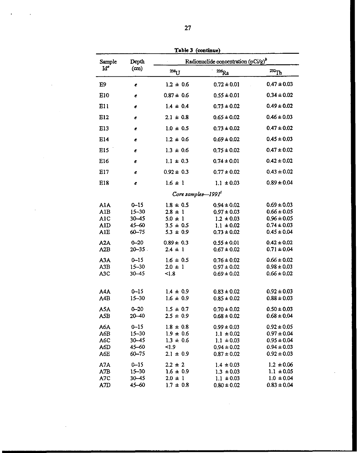| $\lambda$ and $\lambda$ (continue)     |                                                              |                                                                               |                                                                                           |                                                                                             |  |
|----------------------------------------|--------------------------------------------------------------|-------------------------------------------------------------------------------|-------------------------------------------------------------------------------------------|---------------------------------------------------------------------------------------------|--|
| Sample                                 | Depth                                                        | Radionuclide concentration (pCi/g) <sup>b</sup>                               |                                                                                           |                                                                                             |  |
| $Id^a$                                 | (c <sub>m</sub> )                                            | $238$ U                                                                       | $\mathbf{z}_{k}$                                                                          | $^{232}$ Th                                                                                 |  |
| E9                                     | e                                                            | $1.2 \pm 0.6$                                                                 | $0.72 \pm 0.01$                                                                           | $0.47 \pm 0.03$                                                                             |  |
| E10                                    | e                                                            | $0.87 \pm 0.6$                                                                | $0.55 \pm 0.01$                                                                           | $0.34 \pm 0.02$                                                                             |  |
| E11                                    | e                                                            | $14 \pm 0.4$                                                                  | $0.73 \pm 0.02$                                                                           | $0.49 \pm 0.02$                                                                             |  |
| E12                                    | e                                                            | $2.1 \pm 0.8$                                                                 | $0.65 \pm 0.02$                                                                           | $0.46 \pm 0.03$                                                                             |  |
| E13                                    | e                                                            | $1.0 \pm 0.5$                                                                 | $0.73 \pm 0.02$                                                                           | $0.47 \pm 0.02$                                                                             |  |
| E14                                    | e                                                            | $1.2 \pm 0.6$                                                                 | $0.69 \pm 0.02$                                                                           | $0.45 \pm 0.03$                                                                             |  |
| E15                                    | e                                                            | $1.3 \pm 0.6$                                                                 | $0.75 \pm 0.02$                                                                           | $0.47 \pm 0.02$                                                                             |  |
| E16                                    | e                                                            | $1.1 \pm 0.3$                                                                 | $0.74 \pm 0.01$                                                                           | $0.42 \pm 0.02$                                                                             |  |
| E17                                    | e                                                            | $0.92 \pm 0.3$                                                                | $0.77 \pm 0.02$                                                                           | $0.43 \pm 0.02$                                                                             |  |
| E18                                    | e                                                            | $1.6 \pm 1$                                                                   | $1.1 \pm 0.03$                                                                            | $0.89 \pm 0.04$                                                                             |  |
|                                        |                                                              | Core samples-1991                                                             |                                                                                           |                                                                                             |  |
| A1A<br>AlB<br>A1C<br>A1D<br><b>AIE</b> | $0 - 15$<br>$15 - 30$<br>$30 - 45$<br>$45 - 60$<br>$60 - 75$ | $1.8 \pm 0.5$<br>$2.8 \pm 1$<br>$5.0 \pm 1$<br>$3.5 \pm 0.5$<br>$5.3 \pm 0.9$ | $0.94 \pm 0.02$<br>$0.97 \pm 0.03$<br>$1.2 \pm 0.03$<br>$1.1 \pm 0.02$<br>$0.73 \pm 0.02$ | $0.69 \pm 0.03$<br>$0.66 \pm 0.05$<br>$0.96 \pm 0.05$<br>$0.74 \pm 0.03$<br>$0.45 \pm 0.04$ |  |
| A2A<br>A2B                             | $0 - 20$<br>$20 - 35$                                        | $0.89 \pm 0.3$<br>$2.4 \pm 1$                                                 | $0.55 \pm 0.01$<br>$0.67 \pm 0.02$                                                        | $0.42 \pm 0.02$<br>$0.71 \pm 0.04$                                                          |  |
| A3A<br>A3B<br>A <sub>3</sub> C         | $0 - 15$<br>$15 - 30$<br>$30 - 45$                           | $1.6 \pm 0.5$<br>$2.0 \pm 1$<br>< 1.8                                         | $0.76 \pm 0.02$<br>$0.97 \pm 0.02$<br>$0.69 \pm 0.02$                                     | $0.66 \pm 0.02$<br>$0.98 \pm 0.03$<br>$0.66 \pm 0.02$                                       |  |
| A4A<br>A4B                             | $0 - 15$<br>$15 - 30$                                        | $1.4 \pm 0.9$<br>$1.6 \pm 0.9$                                                | $0.83 \pm 0.02$<br>$0.85 \pm 0.02$                                                        | $0.92 \pm 0.03$<br>$0.88 \pm 0.03$                                                          |  |
| A5A<br>A5B                             | $0 - 20$<br>$20 - 40$                                        | $1.5 \pm 0.7$<br>$2.5 \pm 0.9$                                                | $0.70 \pm 0.02$<br>$0.68 \pm 0.02$                                                        | $0.50 \pm 0.03$<br>$0.68 \pm 0.04$                                                          |  |
| A6A<br>A6B<br>A6C<br>A6D<br>A6E        | $0 - 15$<br>$15 - 30$<br>$30 - 45$<br>$45 - 60$<br>$60 - 75$ | $1.8 \pm 0.8$<br>$1.9 \pm 0.6$<br>$1.3 \pm 0.6$<br>1.9<br>$2.1 \pm 0.9$       | $0.99 \pm 0.03$<br>$1.1 \pm 0.02$<br>$1.1 \pm 0.03$<br>$0.94 \pm 0.02$<br>$0.87 \pm 0.02$ | $0.92 \pm 0.05$<br>$0.97 \pm 0.04$<br>$0.95 \pm 0.04$<br>$0.94 \pm 0.03$<br>$0.92 \pm 0.03$ |  |
| A7A<br>A7B<br>A7C<br>A7D               | $0 - 15$<br>$15 - 30$<br>$30 - 45$<br>45-60                  | $2.2 \pm 2$<br>$1.6 \pm 0.9$<br>$2.0 \pm 1$<br>$1.7 \pm 0.8$                  | $1.4 \pm 0.03$<br>$1.3 \pm 0.03$<br>$1.1 \pm 0.03$<br>$0.80 \pm 0.02$                     | $1.2 \pm 0.06$<br>$1.1 \pm 0.05$<br>$1.0 \pm 0.04$<br>$0.83 \pm 0.04$                       |  |

J.

 $\sim$ 

 $\sim$ 

Table 3 (continue)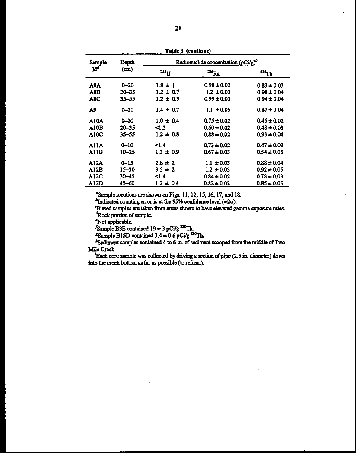| Sample | Depth     |                 | Radionuclide concentration $(pCi/g)^{b}$ |                     |
|--------|-----------|-----------------|------------------------------------------|---------------------|
| Iď     | (cm)      | 23 <sub>U</sub> | $\mathbf{^{226}Ra}$                      | $^{232}\mathrm{Th}$ |
| A8A.   | $0 - 20$  | $1.8 \pm 1$     | $0.98 \pm 0.02$                          | $0.83 \pm 0.03$     |
| A8B    | $20 - 35$ | $1.2 \pm 0.7$   | $1.2 \pm 0.03$                           | $0.98 \pm 0.04$     |
| A8C    | $35 - 55$ | $1.2 \pm 0.9$   | $0.99 \pm 0.03$                          | $0.94 \pm 0.04$     |
| A9     | $0 - 20$  | $1.4 \pm 0.7$   | $1.1 \pm 0.05$                           | $0.87 \pm 0.04$     |
| AIOA   | $0 - 20$  | $1.0 \pm 0.4$   | $0.75 \pm 0.02$                          | $0.45 \pm 0.02$     |
| A10B   | $20 - 35$ | $\leq 1.3$      | $0.60 \pm 0.02$                          | $0.48 \pm 0.03$     |
| A10C   | $35 - 55$ | $1.2 \pm 0.8$   | $0.88 \pm 0.02$                          | $0.93 \pm 0.04$     |
| AllA   | $0 - 10$  | 1.4             | $0.73 \pm 0.02$                          | $0.47 \pm 0.03$     |
| A11B   | $10 - 25$ | $1.3 \pm 0.9$   | $0.67 \pm 0.03$                          | $0.54 \pm 0.05$     |
| A12A   | $0 - 15$  | $2.8 \pm 2$     | $1.1 \pm 0.03$                           | $0.88 \pm 0.04$     |
| A12B   | 15–30     | $3.5 \pm 2$     | $1.2 \pm 0.03$                           | $0.92 \pm 0.05$     |
| A12C   | $30 - 45$ | 1.4             | $0.84 \pm 0.02$                          | $0.78 \pm 0.03$     |
| A12D   | 45–60     | $1.2 \pm 0.4$   | $0.82 \pm 0.02$                          | $0.85 \pm 0.03$     |

Table 3 (continue)

<sup>o</sup>Sample locations are shown on Figs. 11, 12, 15, 16, 17, and 18.

 $<sup>b</sup>$ Indicated counting error is at the 95% confidence level ( $\pm 2\sigma$ ).</sup>

Biased samples are taken from areas shown to have elevated gamma exposure rates. Rock portion of sample.

Not applicable.

Sample B3E contained  $19 \pm 3$  pCi/g<sup>230</sup>Th.<br> **"Sample B15D contained 3.4**  $\pm$  0.6 pCi/g<sup>230</sup>Th.

"Sediment samples contained 4 to 6 in. of sediment scooped from the middle of Two Mile Creek.

'Each core sample was collected by driving a section of pipe (2.5 in. diameter) down into the creek bottom as far as possible (to refusal).